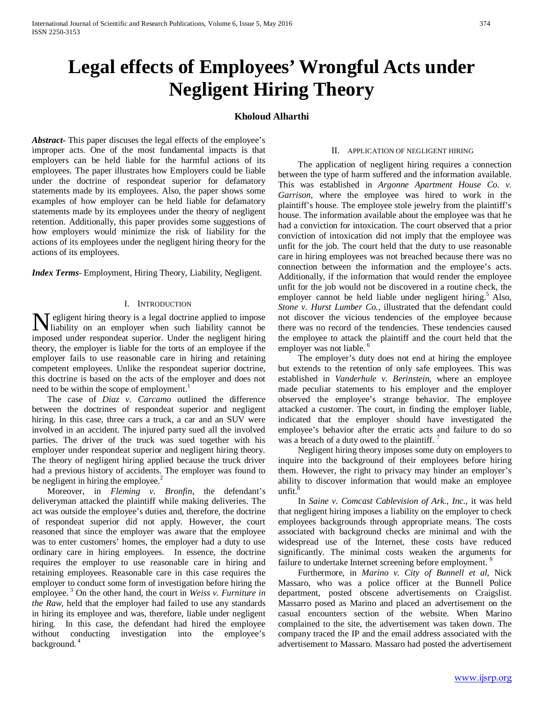# **Legal effects of Employees' Wrongful Acts under Negligent Hiring Theory**

# **Kholoud Alharthi**

*Abstract***-** This paper discuses the legal effects of the employee's improper acts. One of the most fundamental impacts is that employers can be held liable for the harmful actions of its employees. The paper illustrates how Employers could be liable under the doctrine of respondeat superior for defamatory statements made by its employees. Also, the paper shows some examples of how employer can be held liable for defamatory statements made by its employees under the theory of negligent retention. Additionally, this paper provides some suggestions of how employers would minimize the risk of liability for the actions of its employees under the negligent hiring theory for the actions of its employees.

*Index Terms*- Employment, Hiring Theory, Liability, Negligent.

## I. INTRODUCTION

**N** egligent hiring theory is a legal doctrine applied to impose liability on an employer when such liability cannot be liability on an employer when such liability cannot be imposed under respondeat superior. Under the negligent hiring theory, the employer is liable for the torts of an employee if the employer fails to use reasonable care in hiring and retaining competent employees. Unlike the respondeat superior doctrine, this doctrine is based on the acts of the employer and does not need to be within the scope of employment.<sup>1</sup>

 The case of *Diaz v. Carcamo* outlined the difference between the doctrines of respondeat superior and negligent hiring. In this case, three cars a truck, a car and an SUV were involved in an accident. The injured party sued all the involved parties. The driver of the truck was sued together with his employer under respondeat superior and negligent hiring theory. The theory of negligent hiring applied because the truck driver had a previous history of accidents. The employer was found to be negligent in hiring the employee. $\frac{2}{3}$ 

 Moreover, in *Fleming v. Bronfin*, the defendant's deliveryman attacked the plaintiff while making deliveries. The act was outside the employee's duties and, therefore, the doctrine of respondeat superior did not apply. However, the court reasoned that since the employer was aware that the employee was to enter customers' homes, the employer had a duty to use ordinary care in hiring employees. In essence, the doctrine requires the employer to use reasonable care in hiring and retaining employees. Reasonable care in this case requires the employer to conduct some form of investigation before hiring the employee. <sup>3</sup> On the other hand, the court in *Weiss v. Furniture in the Raw,* held that the employer had failed to use any standards in hiring its employee and was, therefore, liable under negligent hiring. In this case, the defendant had hired the employee without conducting investigation into the employee's background. <sup>4</sup>

### II. APPLICATION OF NEGLIGENT HIRING

 The application of negligent hiring requires a connection between the type of harm suffered and the information available. This was established in *Argonne Apartment House Co. v. Garrison,* where the employee was hired to work in the plaintiff's house. The employee stole jewelry from the plaintiff's house. The information available about the employee was that he had a conviction for intoxication. The court observed that a prior conviction of intoxication did not imply that the employee was unfit for the job. The court held that the duty to use reasonable care in hiring employees was not breached because there was no connection between the information and the employee's acts. Additionally, if the information that would render the employee unfit for the job would not be discovered in a routine check, the employer cannot be held liable under negligent hiring.<sup>5</sup> Also, *Stone v. Hurst Lumber Co.,* illustrated that the defendant could not discover the vicious tendencies of the employee because there was no record of the tendencies. These tendencies caused the employee to attack the plaintiff and the court held that the employer was not liable.<sup>6</sup>

 The employer's duty does not end at hiring the employee but extends to the retention of only safe employees. This was established in *Vanderhule v. Berinstein,* where an employee made peculiar statements to his employer and the employer observed the employee's strange behavior. The employee attacked a customer. The court, in finding the employer liable, indicated that the employer should have investigated the employee's behavior after the erratic acts and failure to do so was a breach of a duty owed to the plaintiff.<sup>7</sup>

 Negligent hiring theory imposes some duty on employers to inquire into the background of their employees before hiring them. However, the right to privacy may hinder an employer's ability to discover information that would make an employee  $unfit.$ <sup>8</sup>

 In *Saine v. Comcast Cablevision of Ark., Inc.*, it was held that negligent hiring imposes a liability on the employer to check employees backgrounds through appropriate means. The costs associated with background checks are minimal and with the widespread use of the Internet, these costs have reduced significantly. The minimal costs weaken the arguments for failure to undertake Internet screening before employment.<sup>9</sup>

 Furthermore, in *Marino v. City of Bunnell et al*, Nick Massaro, who was a police officer at the Bunnell Police department, posted obscene advertisements on Craigslist. Massarro posed as Marino and placed an advertisement on the casual encounters section of the website. When Marino complained to the site, the advertisement was taken down. The company traced the IP and the email address associated with the advertisement to Massaro. Massaro had posted the advertisement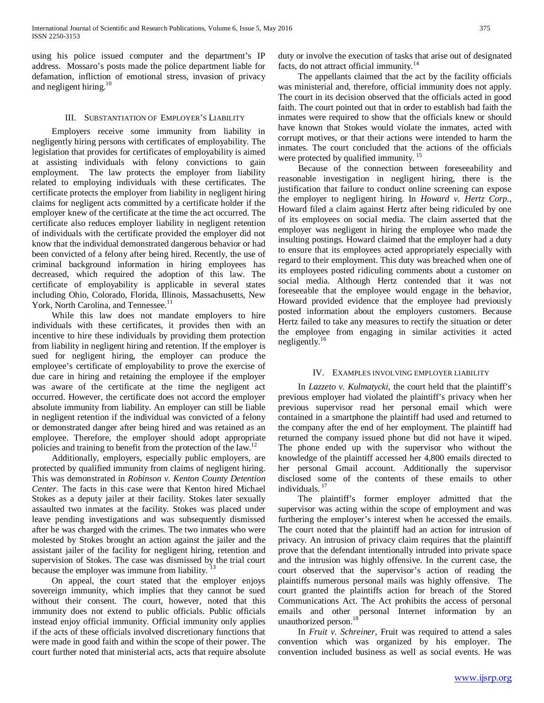using his police issued computer and the department's IP address. Mossaro's posts made the police department liable for defamation, infliction of emotional stress, invasion of privacy and negligent hiring. $10$ 

# III. SUBSTANTIATION OF EMPLOYER'S LIABILITY

 Employers receive some immunity from liability in negligently hiring persons with certificates of employability. The legislation that provides for certificates of employability is aimed at assisting individuals with felony convictions to gain employment. The law protects the employer from liability related to employing individuals with these certificates. The certificate protects the employer from liability in negligent hiring claims for negligent acts committed by a certificate holder if the employer knew of the certificate at the time the act occurred. The certificate also reduces employer liability in negligent retention of individuals with the certificate provided the employer did not know that the individual demonstrated dangerous behavior or had been convicted of a felony after being hired. Recently, the use of criminal background information in hiring employees has decreased, which required the adoption of this law. The certificate of employability is applicable in several states including Ohio, Colorado, Florida, Illinois, Massachusetts, New York, North Carolina, and Tennessee.<sup>11</sup>

 While this law does not mandate employers to hire individuals with these certificates, it provides then with an incentive to hire these individuals by providing them protection from liability in negligent hiring and retention. If the employer is sued for negligent hiring, the employer can produce the employee's certificate of employability to prove the exercise of due care in hiring and retaining the employee if the employer was aware of the certificate at the time the negligent act occurred. However, the certificate does not accord the employer absolute immunity from liability. An employer can still be liable in negligent retention if the individual was convicted of a felony or demonstrated danger after being hired and was retained as an employee. Therefore, the employer should adopt appropriate policies and training to benefit from the protection of the law.<sup>12</sup>

 Additionally, employers, especially public employers, are protected by qualified immunity from claims of negligent hiring. This was demonstrated in *Robinson v. Kenton County Detention Center*. The facts in this case were that Kenton hired Michael Stokes as a deputy jailer at their facility. Stokes later sexually assaulted two inmates at the facility. Stokes was placed under leave pending investigations and was subsequently dismissed after he was charged with the crimes. The two inmates who were molested by Stokes brought an action against the jailer and the assistant jailer of the facility for negligent hiring, retention and supervision of Stokes. The case was dismissed by the trial court because the employer was immune from liability.  $13$ 

 On appeal, the court stated that the employer enjoys sovereign immunity, which implies that they cannot be sued without their consent. The court, however, noted that this immunity does not extend to public officials. Public officials instead enjoy official immunity. Official immunity only applies if the acts of these officials involved discretionary functions that were made in good faith and within the scope of their power. The court further noted that ministerial acts, acts that require absolute duty or involve the execution of tasks that arise out of designated facts, do not attract official immunity.<sup>14</sup>

 The appellants claimed that the act by the facility officials was ministerial and, therefore, official immunity does not apply. The court in its decision observed that the officials acted in good faith. The court pointed out that in order to establish bad faith the inmates were required to show that the officials knew or should have known that Stokes would violate the inmates, acted with corrupt motives, or that their actions were intended to harm the inmates. The court concluded that the actions of the officials were protected by qualified immunity.<sup>15</sup>

 Because of the connection between foreseeability and reasonable investigation in negligent hiring, there is the justification that failure to conduct online screening can expose the employer to negligent hiring. In *Howard v. Hertz Corp.*, Howard filed a claim against Hertz after being ridiculed by one of its employees on social media. The claim asserted that the employer was negligent in hiring the employee who made the insulting postings. Howard claimed that the employer had a duty to ensure that its employees acted appropriately especially with regard to their employment. This duty was breached when one of its employees posted ridiculing comments about a customer on social media. Although Hertz contended that it was not foreseeable that the employee would engage in the behavior, Howard provided evidence that the employee had previously posted information about the employers customers. Because Hertz failed to take any measures to rectify the situation or deter the employee from engaging in similar activities it acted negligently.<sup>16</sup>

## IV. EXAMPLES INVOLVING EMPLOYER LIABILITY

 In *Lazzeto v. Kulmatycki,* the court held that the plaintiff's previous employer had violated the plaintiff's privacy when her previous supervisor read her personal email which were contained in a smartphone the plaintiff had used and returned to the company after the end of her employment. The plaintiff had returned the company issued phone but did not have it wiped. The phone ended up with the supervisor who without the knowledge of the plaintiff accessed her 4,800 emails directed to her personal Gmail account. Additionally the supervisor disclosed some of the contents of these emails to other individuals.<sup>17</sup>

 The plaintiff's former employer admitted that the supervisor was acting within the scope of employment and was furthering the employer's interest when he accessed the emails. The court noted that the plaintiff had an action for intrusion of privacy. An intrusion of privacy claim requires that the plaintiff prove that the defendant intentionally intruded into private space and the intrusion was highly offensive. In the current case, the court observed that the supervisor's action of reading the plaintiffs numerous personal mails was highly offensive. The court granted the plaintiffs action for breach of the Stored Communications Act. The Act prohibits the access of personal emails and other personal Internet information by an unauthorized person.<sup>18</sup>

 In *Fruit v. Schreiner,* Fruit was required to attend a sales convention which was organized by his employer. The convention included business as well as social events. He was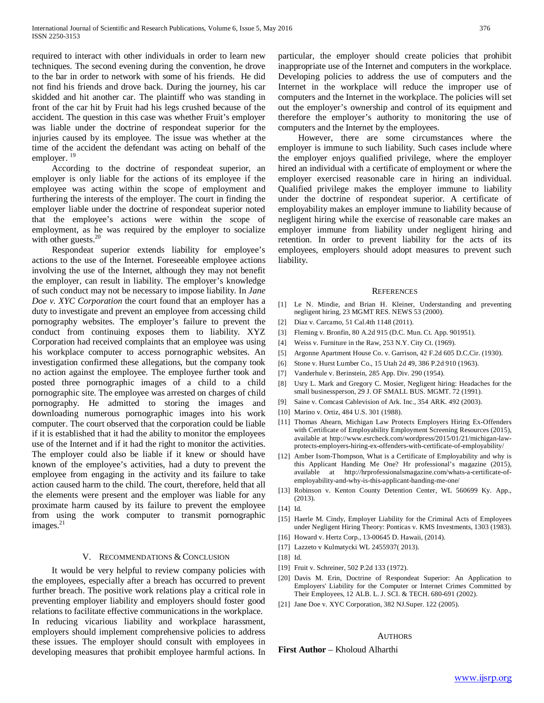required to interact with other individuals in order to learn new techniques. The second evening during the convention, he drove to the bar in order to network with some of his friends. He did not find his friends and drove back. During the journey, his car skidded and hit another car. The plaintiff who was standing in front of the car hit by Fruit had his legs crushed because of the accident. The question in this case was whether Fruit's employer was liable under the doctrine of respondeat superior for the injuries caused by its employee. The issue was whether at the time of the accident the defendant was acting on behalf of the employer.<sup>19</sup>

 According to the doctrine of respondeat superior, an employer is only liable for the actions of its employee if the employee was acting within the scope of employment and furthering the interests of the employer. The court in finding the employer liable under the doctrine of respondeat superior noted that the employee's actions were within the scope of employment, as he was required by the employer to socialize with other guests.<sup>20</sup>

 Respondeat superior extends liability for employee's actions to the use of the Internet. Foreseeable employee actions involving the use of the Internet, although they may not benefit the employer, can result in liability. The employer's knowledge of such conduct may not be necessary to impose liability. In *Jane Doe v. XYC Corporation* the court found that an employer has a duty to investigate and prevent an employee from accessing child pornography websites. The employer's failure to prevent the conduct from continuing exposes them to liability. XYZ Corporation had received complaints that an employee was using his workplace computer to access pornographic websites. An investigation confirmed these allegations, but the company took no action against the employee. The employee further took and posted three pornographic images of a child to a child pornographic site. The employee was arrested on charges of child pornography. He admitted to storing the images and downloading numerous pornographic images into his work computer. The court observed that the corporation could be liable if it is established that it had the ability to monitor the employees use of the Internet and if it had the right to monitor the activities. The employer could also be liable if it knew or should have known of the employee's activities, had a duty to prevent the employee from engaging in the activity and its failure to take action caused harm to the child. The court, therefore, held that all the elements were present and the employer was liable for any proximate harm caused by its failure to prevent the employee from using the work computer to transmit pornographic  $images.<sup>21</sup>$ 

#### V. RECOMMENDATIONS & CONCLUSION

 It would be very helpful to review company policies with the employees, especially after a breach has occurred to prevent further breach. The positive work relations play a critical role in preventing employer liability and employers should foster good relations to facilitate effective communications in the workplace. In reducing vicarious liability and workplace harassment, employers should implement comprehensive policies to address these issues. The employer should consult with employees in developing measures that prohibit employee harmful actions. In particular, the employer should create policies that prohibit inappropriate use of the Internet and computers in the workplace. Developing policies to address the use of computers and the Internet in the workplace will reduce the improper use of computers and the Internet in the workplace. The policies will set out the employer's ownership and control of its equipment and therefore the employer's authority to monitoring the use of computers and the Internet by the employees.

 However, there are some circumstances where the employer is immune to such liability. Such cases include where the employer enjoys qualified privilege, where the employer hired an individual with a certificate of employment or where the employer exercised reasonable care in hiring an individual. Qualified privilege makes the employer immune to liability under the doctrine of respondeat superior. A certificate of employability makes an employer immune to liability because of negligent hiring while the exercise of reasonable care makes an employer immune from liability under negligent hiring and retention. In order to prevent liability for the acts of its employees, employers should adopt measures to prevent such liability.

#### **REFERENCES**

- [1] Le N. Mindie, and Brian H. Kleiner, Understanding and preventing negligent hiring, 23 MGMT RES. NEWS 53 (2000).
- [2] Diaz v. Carcamo, 51 Cal.4th 1148 (2011).
- [3] Fleming v. Bronfin, 80 A.2d 915 (D.C. Mun. Ct. App. 901951).
- [4] Weiss v. Furniture in the Raw, 253 N.Y. City Ct. (1969).
- [5] Argonne Apartment House Co. v. Garrison, 42 F.2d 605 D.C.Cir. (1930).
- [6] Stone v. Hurst Lumber Co., 15 Utah 2d 49, 386 P.2d 910 (1963).
- [7] Vanderhule v. Berinstein, 285 App. Div. 290 (1954).
- [8] Usry L. Mark and Gregory C. Mosier, Negligent hiring: Headaches for the small businessperson, 29 J. OF SMALL BUS. MGMT. 72 (1991).
- [9] Saine v. Comcast Cablevision of Ark. Inc., 354 ARK. 492 (2003).
- [10] Marino v. Ortiz, 484 U.S. 301 (1988).
- [11] Thomas Ahearn, Michigan Law Protects Employers Hiring Ex-Offenders with Certificate of Employability Employment Screening Resources (2015), available at http://www.esrcheck.com/wordpress/2015/01/21/michigan-lawprotects-employers-hiring-ex-offenders-with-certificate-of-employability/
- [12] Amber Isom-Thompson, What is a Certificate of Employability and why is this Applicant Handing Me One? Hr professional's magazine (2015), available at http://hrprofessionalsmagazine.com/whats-a-certificate-ofemployability-and-why-is-this-applicant-handing-me-one/
- [13] Robinson v. Kenton County Detention Center, WL 560699 Ky. App., (2013).
- [14] Id.
- [15] Haerle M. Cindy, Employer Liability for the Criminal Acts of Employees under Negligent Hiring Theory: Ponticas v. KMS Investments, 1303 (1983).
- [16] Howard v. Hertz Corp., 13-00645 D. Hawaii, (2014).
- [17] Lazzeto v Kulmatycki WL 2455937( 2013).
- [18] Id.
- [19] Fruit v. Schreiner, 502 P.2d 133 (1972).
- [20] Davis M. Erin, Doctrine of Respondeat Superior: An Application to Employers' Liability for the Computer or Internet Crimes Committed by Their Employees, 12 ALB. L. J. SCI. & TECH. 680-691 (2002).
- [21] Jane Doe v. XYC Corporation, 382 NJ.Super. 122 (2005).

#### AUTHORS

**First Author** – Kholoud Alharthi